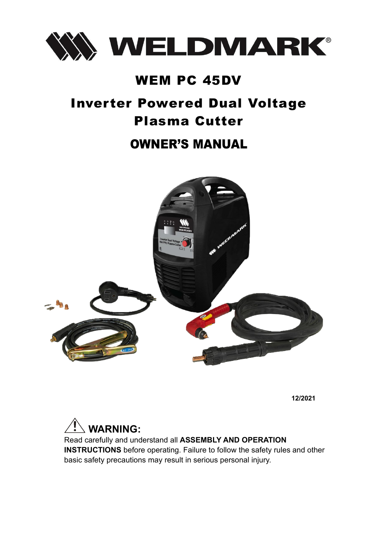

# WEM PC 45DV

# Inverter Powered Dual Voltage Plasma Cutter

# OWNER'S MANUAL



**12/2021** 



Read carefully and understand all **ASSEMBLY AND OPERATION INSTRUCTIONS** before operating. Failure to follow the safety rules and other basic safety precautions may result in serious personal injury.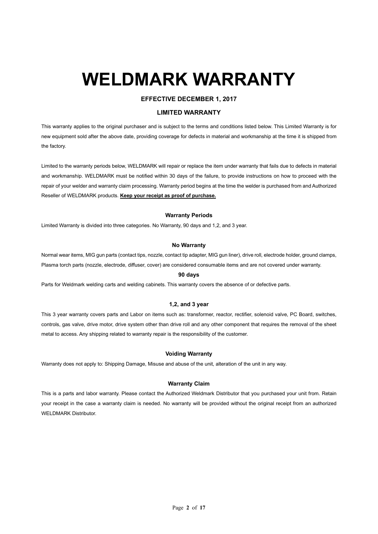# **WELDMARK WARRANTY**

#### **EFFECTIVE DECEMBER 1, 2017**

#### **LIMITED WARRANTY**

This warranty applies to the original purchaser and is subject to the terms and conditions listed below. This Limited Warranty is for new equipment sold after the above date, providing coverage for defects in material and workmanship at the time it is shipped from the factory.

Limited to the warranty periods below, WELDMARK will repair or replace the item under warranty that fails due to defects in material and workmanship. WELDMARK must be notified within 30 days of the failure, to provide instructions on how to proceed with the repair of your welder and warranty claim processing. Warranty period begins at the time the welder is purchased from and Authorized Reseller of WELDMARK products. **Keep your receipt as proof of purchase.**

#### **Warranty Periods**

Limited Warranty is divided into three categories. No Warranty, 90 days and 1,2, and 3 year.

#### **No Warranty**

Normal wear items, MIG gun parts (contact tips, nozzle, contact tip adapter, MIG gun liner), drive roll, electrode holder, ground clamps, Plasma torch parts (nozzle, electrode, diffuser, cover) are considered consumable items and are not covered under warranty.

#### **90 days**

Parts for Weldmark welding carts and welding cabinets. This warranty covers the absence of or defective parts.

#### **1,2, and 3 year**

This 3 year warranty covers parts and Labor on items such as: transformer, reactor, rectifier, solenoid valve, PC Board, switches, controls, gas valve, drive motor, drive system other than drive roll and any other component that requires the removal of the sheet metal to access. Any shipping related to warranty repair is the responsibility of the customer.

#### **Voiding Warranty**

Warranty does not apply to: Shipping Damage, Misuse and abuse of the unit, alteration of the unit in any way.

#### **Warranty Claim**

This is a parts and labor warranty. Please contact the Authorized Weldmark Distributor that you purchased your unit from. Retain your receipt in the case a warranty claim is needed. No warranty will be provided without the original receipt from an authorized WELDMARK Distributor.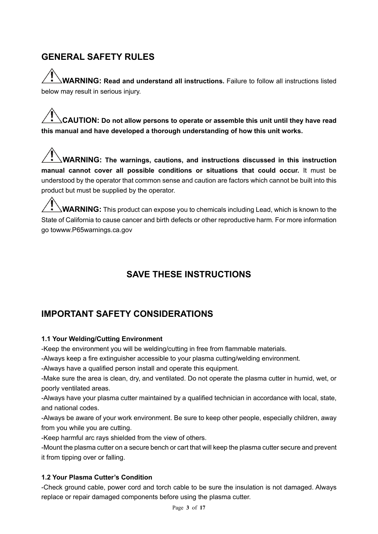# **GENERAL SAFETY RULES**

**WARNING: Read and understand all instructions.** Failure to follow all instructions listed below may result in serious injury.

**CAUTION: Do not allow persons to operate or assemble this unit until they have read this manual and have developed a thorough understanding of how this unit works.**

 **WARNING: The warnings, cautions, and instructions discussed in this instruction manual cannot cover all possible conditions or situations that could occur.** It must be understood by the operator that common sense and caution are factors which cannot be built into this product but must be supplied by the operator.

**WARNING:** This product can expose you to chemicals including Lead, which is known to the State of California to cause cancer and birth defects or other reproductive harm. For more information go towww.P65warnings.ca.gov

# **SAVE THESE INSTRUCTIONS**

# **IMPORTANT SAFETY CONSIDERATIONS**

#### **1.1 Your Welding/Cutting Environment**

-Keep the environment you will be welding/cutting in free from flammable materials.

-Always keep a fire extinguisher accessible to your plasma cutting/welding environment.

-Always have a qualified person install and operate this equipment.

-Make sure the area is clean, dry, and ventilated. Do not operate the plasma cutter in humid, wet, or poorly ventilated areas.

-Always have your plasma cutter maintained by a qualified technician in accordance with local, state, and national codes.

-Always be aware of your work environment. Be sure to keep other people, especially children, away from you while you are cutting.

-Keep harmful arc rays shielded from the view of others.

-Mount the plasma cutter on a secure bench or cart that will keep the plasma cutter secure and prevent it from tipping over or falling.

#### **1.2 Your Plasma Cutter's Condition**

-Check ground cable, power cord and torch cable to be sure the insulation is not damaged. Always replace or repair damaged components before using the plasma cutter.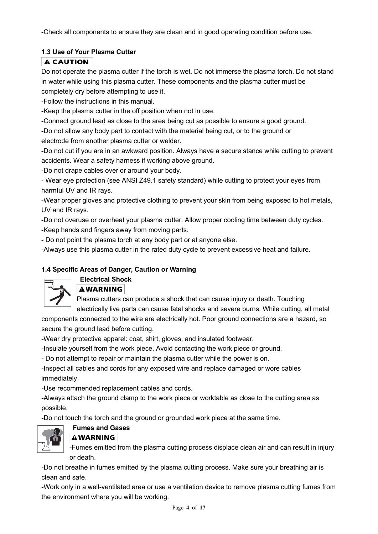-Check all components to ensure they are clean and in good operating condition before use.

#### **1.3 Use of Your Plasma Cutter**

#### **A CAUTION**

Do not operate the plasma cutter if the torch is wet. Do not immerse the plasma torch. Do not stand in water while using this plasma cutter. These components and the plasma cutter must be completely dry before attempting to use it.

-Follow the instructions in this manual.

-Keep the plasma cutter in the off position when not in use.

-Connect ground lead as close to the area being cut as possible to ensure a good ground.

-Do not allow any body part to contact with the material being cut, or to the ground or

electrode from another plasma cutter or welder.

-Do not cut if you are in an awkward position. Always have a secure stance while cutting to prevent accidents. Wear a safety harness if working above ground.

-Do not drape cables over or around your body.

- Wear eye protection (see ANSI Z49.1 safety standard) while cutting to protect your eyes from harmful UV and IR rays.

-Wear proper gloves and protective clothing to prevent your skin from being exposed to hot metals, UV and IR rays.

-Do not overuse or overheat your plasma cutter. Allow proper cooling time between duty cycles. -Keep hands and fingers away from moving parts.

- Do not point the plasma torch at any body part or at anyone else.

-Always use this plasma cutter in the rated duty cycle to prevent excessive heat and failure.

#### **1.4 Specific Areas of Danger, Caution or Warning**

#### **Electrical Shock**



#### **AWARNING**

Plasma cutters can produce a shock that can cause injury or death. Touching electrically live parts can cause fatal shocks and severe burns. While cutting, all metal

components connected to the wire are electrically hot. Poor ground connections are a hazard, so secure the ground lead before cutting.

-Wear dry protective apparel: coat, shirt, gloves, and insulated footwear.

-Insulate yourself from the work piece. Avoid contacting the work piece or ground.

- Do not attempt to repair or maintain the plasma cutter while the power is on.

-Inspect all cables and cords for any exposed wire and replace damaged or wore cables immediately.

-Use recommended replacement cables and cords.

-Always attach the ground clamp to the work piece or worktable as close to the cutting area as possible.

-Do not touch the torch and the ground or grounded work piece at the same time.



# **Fumes and Gases**

#### **AWARNING**

-Fumes emitted from the plasma cutting process displace clean air and can result in injury or death.

-Do not breathe in fumes emitted by the plasma cutting process. Make sure your breathing air is clean and safe.

-Work only in a well-ventilated area or use a ventilation device to remove plasma cutting fumes from the environment where you will be working.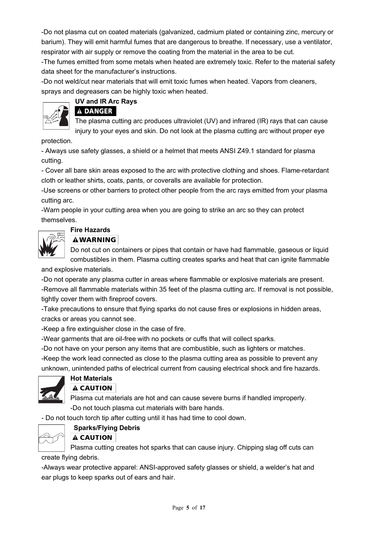-Do not plasma cut on coated materials (galvanized, cadmium plated or containing zinc, mercury or barium). They will emit harmful fumes that are dangerous to breathe. If necessary, use a ventilator, respirator with air supply or remove the coating from the material in the area to be cut.

-The fumes emitted from some metals when heated are extremely toxic. Refer to the material safety data sheet for the manufacturer's instructions.

-Do not weld/cut near materials that will emit toxic fumes when heated. Vapors from cleaners, sprays and degreasers can be highly toxic when heated.



#### **UV and IR Arc Rays A DANGER**

The plasma cutting arc produces ultraviolet (UV) and infrared (IR) rays that can cause injury to your eyes and skin. Do not look at the plasma cutting arc without proper eye

protection.

- Always use safety glasses, a shield or a helmet that meets ANSI Z49.1 standard for plasma cutting.

- Cover all bare skin areas exposed to the arc with protective clothing and shoes. Flame-retardant cloth or leather shirts, coats, pants, or coveralls are available for protection.

-Use screens or other barriers to protect other people from the arc rays emitted from your plasma cutting arc.

-Warn people in your cutting area when you are going to strike an arc so they can protect themselves.

#### **Fire Hazards**

#### **AWARNING**

Do not cut on containers or pipes that contain or have had flammable, gaseous or liquid combustibles in them. Plasma cutting creates sparks and heat that can ignite flammable

and explosive materials.

-Do not operate any plasma cutter in areas where flammable or explosive materials are present. -Remove all flammable materials within 35 feet of the plasma cutting arc. If removal is not possible, tightly cover them with fireproof covers.

-Take precautions to ensure that flying sparks do not cause fires or explosions in hidden areas, cracks or areas you cannot see.

-Keep a fire extinguisher close in the case of fire.

-Wear garments that are oil-free with no pockets or cuffs that will collect sparks.

-Do not have on your person any items that are combustible, such as lighters or matches.

-Keep the work lead connected as close to the plasma cutting area as possible to prevent any unknown, unintended paths of electrical current from causing electrical shock and fire hazards.



#### **Hot Materials A CAUTION**

Plasma cut materials are hot and can cause severe burns if handled improperly. -Do not touch plasma cut materials with bare hands.

- Do not touch torch tip after cutting until it has had time to cool down.



#### **Sparks/Flying Debris**

#### **A CAUTION**

Plasma cutting creates hot sparks that can cause injury. Chipping slag off cuts can create flying debris.

-Always wear protective apparel: ANSI-approved safety glasses or shield, a welder's hat and ear plugs to keep sparks out of ears and hair.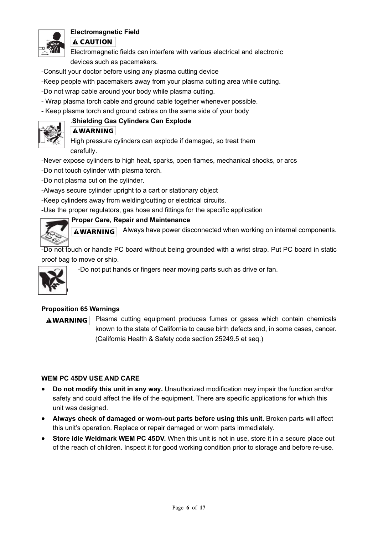

#### **Electromagnetic Field**

**A CAUTION** 

Electromagnetic fields can interfere with various electrical and electronic devices such as pacemakers.

- -Consult your doctor before using any plasma cutting device
- -Keep people with pacemakers away from your plasma cutting area while cutting.
- -Do not wrap cable around your body while plasma cutting.
- Wrap plasma torch cable and ground cable together whenever possible.
- Keep plasma torch and ground cables on the same side of your body

#### .**Shielding Gas Cylinders Can Explode**



# **AWARNING**

High pressure cylinders can explode if damaged, so treat them carefully.

-Never expose cylinders to high heat, sparks, open flames, mechanical shocks, or arcs

-Do not touch cylinder with plasma torch.

-Do not plasma cut on the cylinder.

-Always secure cylinder upright to a cart or stationary object

-Keep cylinders away from welding/cutting or electrical circuits.

-Use the proper regulators, gas hose and fittings for the specific application

#### **Proper Care, Repair and Maintenance**

**AWARNING** Always have power disconnected when working on internal components.

-Do not touch or handle PC board without being grounded with a wrist strap. Put PC board in static proof bag to move or ship.



 $-20/$ 

-Do not put hands or fingers near moving parts such as drive or fan.

#### **Proposition 65 Warnings**

**AWARNING** 

Plasma cutting equipment produces fumes or gases which contain chemicals known to the state of California to cause birth defects and, in some cases, cancer. (California Health & Safety code section 25249.5 et seq.)

#### **WEM PC 45DV USE AND CARE**

- **Do not modify this unit in any way.** Unauthorized modification may impair the function and/or safety and could affect the life of the equipment. There are specific applications for which this unit was designed.
- **Always check of damaged or worn-out parts before using this unit.** Broken parts will affect this unit's operation. Replace or repair damaged or worn parts immediately.
- **Store idle Weldmark WEM PC 45DV.** When this unit is not in use, store it in a secure place out of the reach of children. Inspect it for good working condition prior to storage and before re-use.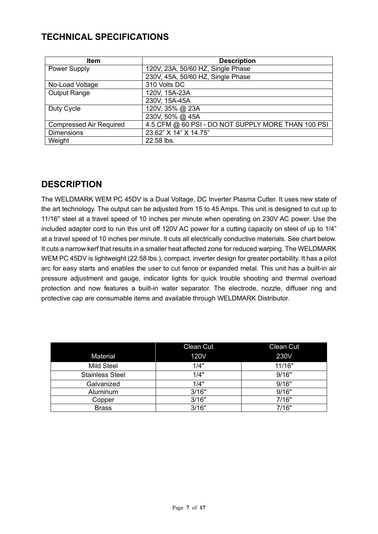# **TECHNICAL SPECIFICATIONS**

| <b>Item</b>                    | <b>Description</b>                                 |
|--------------------------------|----------------------------------------------------|
| Power Supply                   | 120V, 23A, 50/60 HZ, Single Phase                  |
|                                | 230V, 45A, 50/60 HZ, Single Phase                  |
| No-Load Voltage                | 310 Volts DC                                       |
| <b>Output Range</b>            | 120V, 15A-23A                                      |
|                                | 230V, 15A-45A                                      |
| Duty Cycle                     | 120V, 35% @ 23A                                    |
|                                | 230V, 50% @ 45A                                    |
| <b>Compressed Air Required</b> | 4.5 CFM @ 60 PSI - DO NOT SUPPLY MORE THAN 100 PSI |
| <b>Dimensions</b>              | 23.62" X 14" X 14.75"                              |
| Weight                         | 22.58 lbs.                                         |

### **DESCRIPTION**

The WELDMARK WEM PC 45DV is a Dual Voltage, DC Inverter Plasma Cutter. It uses new state of the art technology. The output can be adjusted from 15 to 45 Amps. This unit is designed to cut up to 11/16" steel at a travel speed of 10 inches per minute when operating on 230V AC power. Use the included adapter cord to run this unit off 120V AC power for a cutting capacity on steel of up to 1/4" at a travel speed of 10 inches per minute. It cuts all electrically conductive materials. See chart below. It cuts a narrow kerf that results in a smaller heat affected zone for reduced warping. The WELDMARK WEM PC 45DV is lightweight (22.58 lbs.), compact, inverter design for greater portability. It has a pilot arc for easy starts and enables the user to cut fence or expanded metal. This unit has a built-in air pressure adjustment and gauge, indicator lights for quick trouble shooting and thermal overload protection and now features a built-in water separator. The electrode, nozzle, diffuser ring and protective cap are consumable items and available through WELDMARK Distributor.

|                        | Clean Cut   | Clean Cut |
|------------------------|-------------|-----------|
| Material               | <b>120V</b> | 230V      |
| <b>Mild Steel</b>      | 1/4"        | 11/16"    |
| <b>Stainless Steel</b> | 1/4"        | 9/16"     |
| Galvanized             | 1/4"        | 9/16"     |
| Aluminum               | 3/16"       | 9/16"     |
| Copper                 | 3/16"       | 7/16"     |
| <b>Brass</b>           | 3/16"       | 7/16"     |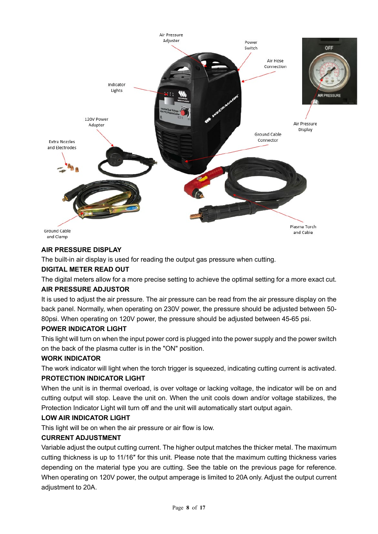

#### **AIR PRESSURE DISPLAY**

The built-in air display is used for reading the output gas pressure when cutting.

#### **DIGITAL METER READ OUT**

The digital meters allow for a more precise setting to achieve the optimal setting for a more exact cut. **AIR PRESSURE ADJUSTOR**

It is used to adjust the air pressure. The air pressure can be read from the air pressure display on the back panel. Normally, when operating on 230V power, the pressure should be adjusted between 50- 80psi. When operating on 120V power, the pressure should be adjusted between 45-65 psi.

#### **POWER INDICATOR LIGHT**

This light will turn on when the input power cord is plugged into the power supply and the power switch on the back of the plasma cutter is in the "ON" position.

#### **WORK INDICATOR**

The work indicator will light when the torch trigger is squeezed, indicating cutting current is activated.

#### **PROTECTION INDICATOR LIGHT**

When the unit is in thermal overload, is over voltage or lacking voltage, the indicator will be on and cutting output will stop. Leave the unit on. When the unit cools down and/or voltage stabilizes, the Protection Indicator Light will turn off and the unit will automatically start output again.

#### **LOW AIR INDICATOR LIGHT**

This light will be on when the air pressure or air flow is low.

#### **CURRENT ADJUSTMENT**

Variable adjust the output cutting current. The higher output matches the thicker metal. The maximum cutting thickness is up to 11/16″ for this unit. Please note that the maximum cutting thickness varies depending on the material type you are cutting. See the table on the previous page for reference. When operating on 120V power, the output amperage is limited to 20A only. Adjust the output current adjustment to 20A.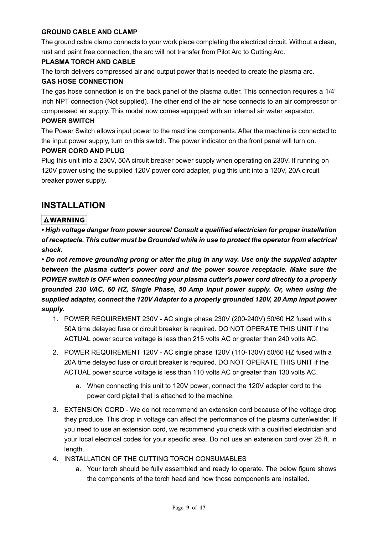#### **GROUND CABLE AND CLAMP**

The ground cable clamp connects to your work piece completing the electrical circuit. Without a clean, rust and paint free connection, the arc will not transfer from Pilot Arc to Cutting Arc.

#### **PLASMA TORCH AND CABLE**

The torch delivers compressed air and output power that is needed to create the plasma arc.

#### **GAS HOSE CONNECTION**

The gas hose connection is on the back panel of the plasma cutter. This connection requires a 1/4" inch NPT connection (Not supplied). The other end of the air hose connects to an air compressor or compressed air supply. This model now comes equipped with an internal air water separator.

#### **POWER SWITCH**

The Power Switch allows input power to the machine components. After the machine is connected to the input power supply, turn on this switch. The power indicator on the front panel will turn on.

#### **POWER CORD AND PLUG**

Plug this unit into a 230V, 50A circuit breaker power supply when operating on 230V. If running on 120V power using the supplied 120V power cord adapter, plug this unit into a 120V, 20A circuit breaker power supply.

#### **INSTALLATION**

#### **AWARNING**

*• High voltage danger from power source! Consult a qualified electrician for proper installation of receptacle. This cutter must be Grounded while in use to protect the operator from electrical shock.*

*• Do not remove grounding prong or alter the plug in any way. Use only the supplied adapter between the plasma cutter's power cord and the power source receptacle. Make sure the POWER switch is OFF when connecting your plasma cutter's power cord directly to a properly grounded 230 VAC, 60 HZ, Single Phase, 50 Amp input power supply. Or, when using the supplied adapter, connect the 120V Adapter to a properly grounded 120V, 20 Amp input power supply.*

- 1. POWER REQUIREMENT 230V AC single phase 230V (200-240V) 50/60 HZ fused with a 50A time delayed fuse or circuit breaker is required. DO NOT OPERATE THIS UNIT if the ACTUAL power source voltage is less than 215 volts AC or greater than 240 volts AC.
- 2. POWER REQUIREMENT 120V AC single phase 120V (110-130V) 50/60 HZ fused with a 20A time delayed fuse or circuit breaker is required. DO NOT OPERATE THIS UNIT if the ACTUAL power source voltage is less than 110 volts AC or greater than 130 volts AC.
	- a. When connecting this unit to 120V power, connect the 120V adapter cord to the power cord pigtail that is attached to the machine.
- 3. EXTENSION CORD We do not recommend an extension cord because of the voltage drop they produce. This drop in voltage can affect the performance of the plasma cutter/welder. If you need to use an extension cord, we recommend you check with a qualified electrician and your local electrical codes for your specific area. Do not use an extension cord over 25 ft. in length.
- 4. INSTALLATION OF THE CUTTING TORCH CONSUMABLES
	- a. Your torch should be fully assembled and ready to operate. The below figure shows the components of the torch head and how those components are installed.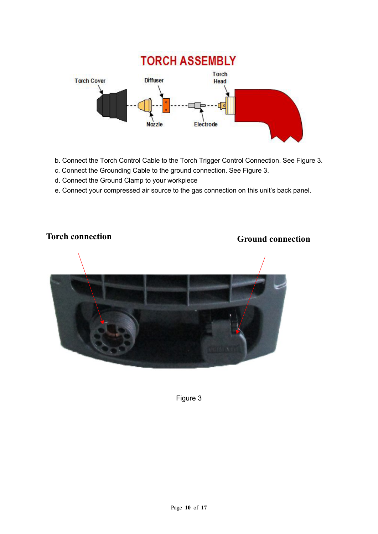

- b. Connect the Torch Control Cable to the Torch Trigger Control Connection. See Figure 3.
- c. Connect the Grounding Cable to the ground connection. See Figure 3.
- d. Connect the Ground Clamp to your workpiece
- e. Connect your compressed air source to the gas connection on this unit's back panel.

# **Torch connection Ground connection**

#### Figure 3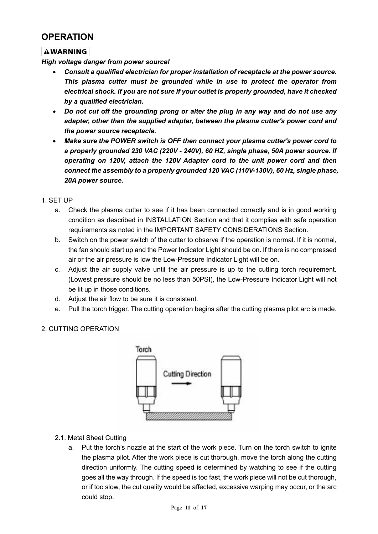## **OPERATION**

#### **AWARNING**

*High voltage danger from power source!* 

- *Consult a qualified electrician for proper installation of receptacle at the power source. This plasma cutter must be grounded while in use to protect the operator from electrical shock. If you are not sure if your outlet is properly grounded, have it checked by a qualified electrician.*
- *Do not cut off the grounding prong or alter the plug in any way and do not use any adapter, other than the supplied adapter, between the plasma cutter's power cord and the power source receptacle.*
- *Make sure the POWER switch is OFF then connect your plasma cutter's power cord to a properly grounded 230 VAC (220V - 240V), 60 HZ, single phase, 50A power source. If operating on 120V, attach the 120V Adapter cord to the unit power cord and then connect the assembly to a properly grounded 120 VAC (110V-130V), 60 Hz, single phase, 20A power source.*
- 1. SET UP
	- a. Check the plasma cutter to see if it has been connected correctly and is in good working condition as described in INSTALLATION Section and that it complies with safe operation requirements as noted in the IMPORTANT SAFETY CONSIDERATIONS Section.
	- b. Switch on the power switch of the cutter to observe if the operation is normal. If it is normal, the fan should start up and the Power Indicator Light should be on. If there is no compressed air or the air pressure is low the Low-Pressure Indicator Light will be on.
	- c. Adjust the air supply valve until the air pressure is up to the cutting torch requirement. (Lowest pressure should be no less than 50PSI), the Low-Pressure Indicator Light will not be lit up in those conditions.
	- d. Adjust the air flow to be sure it is consistent.
	- e. Pull the torch trigger. The cutting operation begins after the cutting plasma pilot arc is made.

#### 2. CUTTING OPERATION



- 2.1. Metal Sheet Cutting
	- a. Put the torch's nozzle at the start of the work piece. Turn on the torch switch to ignite the plasma pilot. After the work piece is cut thorough, move the torch along the cutting direction uniformly. The cutting speed is determined by watching to see if the cutting goes all the way through. If the speed is too fast, the work piece will not be cut thorough, or if too slow, the cut quality would be affected, excessive warping may occur, or the arc could stop.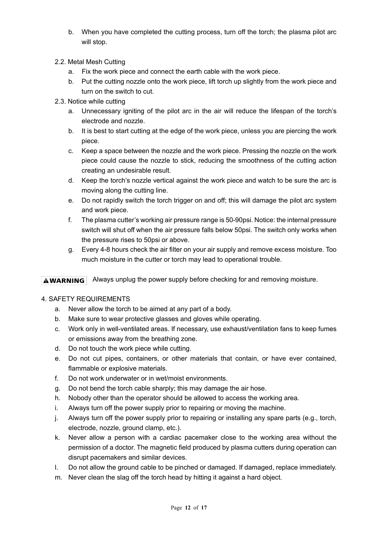- b. When you have completed the cutting process, turn off the torch; the plasma pilot arc will stop.
- 2.2. Metal Mesh Cutting
	- a. Fix the work piece and connect the earth cable with the work piece.
	- b. Put the cutting nozzle onto the work piece, lift torch up slightly from the work piece and turn on the switch to cut.
- 2.3. Notice while cutting
	- a. Unnecessary igniting of the pilot arc in the air will reduce the lifespan of the torch's electrode and nozzle.
	- b. It is best to start cutting at the edge of the work piece, unless you are piercing the work piece.
	- c. Keep a space between the nozzle and the work piece. Pressing the nozzle on the work piece could cause the nozzle to stick, reducing the smoothness of the cutting action creating an undesirable result.
	- d. Keep the torch's nozzle vertical against the work piece and watch to be sure the arc is moving along the cutting line.
	- e. Do not rapidly switch the torch trigger on and off; this will damage the pilot arc system and work piece.
	- f. The plasma cutter's working air pressure range is 50-90psi. Notice: the internal pressure switch will shut off when the air pressure falls below 50psi. The switch only works when the pressure rises to 50psi or above.
	- g. Every 4-8 hours check the air filter on your air supply and remove excess moisture. Too much moisture in the cutter or torch may lead to operational trouble.

**AWARNING** Always unplug the power supply before checking for and removing moisture.

#### 4. SAFETY REQUIREMENTS

- a. Never allow the torch to be aimed at any part of a body.
- b. Make sure to wear protective glasses and gloves while operating.
- c. Work only in well-ventilated areas. If necessary, use exhaust/ventilation fans to keep fumes or emissions away from the breathing zone.
- d. Do not touch the work piece while cutting.
- e. Do not cut pipes, containers, or other materials that contain, or have ever contained, flammable or explosive materials.
- f. Do not work underwater or in wet/moist environments.
- g. Do not bend the torch cable sharply; this may damage the air hose.
- h. Nobody other than the operator should be allowed to access the working area.
- i. Always turn off the power supply prior to repairing or moving the machine.
- j. Always turn off the power supply prior to repairing or installing any spare parts (e.g., torch, electrode, nozzle, ground clamp, etc.).
- k. Never allow a person with a cardiac pacemaker close to the working area without the permission of a doctor. The magnetic field produced by plasma cutters during operation can disrupt pacemakers and similar devices.
- l. Do not allow the ground cable to be pinched or damaged. If damaged, replace immediately.
- m. Never clean the slag off the torch head by hitting it against a hard object.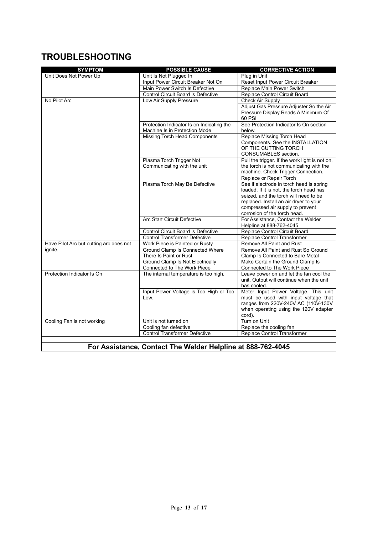# **TROUBLESHOOTING**

 $\overline{\phantom{a}}$ 

| <b>SYMPTOM</b>                          | <b>POSSIBLE CAUSE</b>                                                      | <b>CORRECTIVE ACTION</b>                                                             |
|-----------------------------------------|----------------------------------------------------------------------------|--------------------------------------------------------------------------------------|
| Unit Does Not Power Up                  | Unit Is Not Plugged In                                                     | Plug in Unit                                                                         |
|                                         | Input Power Circuit Breaker Not On                                         | Reset Input Power Circuit Breaker                                                    |
|                                         | Main Power Switch Is Defective                                             | Replace Main Power Switch                                                            |
|                                         | Control Circuit Board is Defective                                         | Replace Control Circuit Board                                                        |
| No Pilot Arc                            | Low Air Supply Pressure                                                    | Check Air Supply                                                                     |
|                                         |                                                                            | Adjust Gas Pressure Adjuster So the Air                                              |
|                                         |                                                                            | Pressure Display Reads A Minimum Of                                                  |
|                                         |                                                                            | 60 PSI<br>See Protection Indicator Is On section                                     |
|                                         | Protection Indicator Is on Indicating the<br>Machine Is in Protection Mode | below.                                                                               |
|                                         | Missing Torch Head Components                                              | Replace Missing Torch Head                                                           |
|                                         |                                                                            | Components. See the INSTALLATION                                                     |
|                                         |                                                                            | OF THE CUTTING TORCH                                                                 |
|                                         |                                                                            | CONSUMABLES section.                                                                 |
|                                         | Plasma Torch Trigger Not                                                   | Pull the trigger. If the work light is not on,                                       |
|                                         | Communicating with the unit                                                | the torch is not communicating with the                                              |
|                                         |                                                                            | machine. Check Trigger Connection.                                                   |
|                                         |                                                                            | Replace or Repair Torch                                                              |
|                                         | Plasma Torch May Be Defective                                              | See if electrode in torch head is spring<br>loaded. If it is not, the torch head has |
|                                         |                                                                            | seized, and the torch will need to be                                                |
|                                         |                                                                            | replaced. Install an air dryer to your                                               |
|                                         |                                                                            | compressed air supply to prevent                                                     |
|                                         |                                                                            | corrosion of the torch head.                                                         |
|                                         | <b>Arc Start Circuit Defective</b>                                         | For Assistance, Contact the Welder                                                   |
|                                         |                                                                            | Helpline at 888-762-4045                                                             |
|                                         | Control Circuit Board is Defective                                         | Replace Control Circuit Board                                                        |
|                                         | <b>Control Transformer Defective</b>                                       | Replace Control Transformer                                                          |
| Have Pilot Arc but cutting arc does not | Work Piece is Painted or Rusty                                             | Remove All Paint and Rust                                                            |
| ignite.                                 | Ground Clamp Is Connected Where                                            | Remove All Paint and Rust So Ground                                                  |
|                                         | There Is Paint or Rust<br><b>Ground Clamp Is Not Electrically</b>          | Clamp Is Connected to Bare Metal<br>Make Certain the Ground Clamp Is                 |
|                                         | Connected to The Work Piece                                                | Connected to The Work Piece                                                          |
| Protection Indicator Is On              | The internal temperature is too high.                                      | Leave power on and let the fan cool the                                              |
|                                         |                                                                            | unit. Output will continue when the unit                                             |
|                                         |                                                                            | has cooled.                                                                          |
|                                         | Input Power Voltage is Too High or Too                                     | Meter Input Power Voltage. This unit                                                 |
|                                         | Low.                                                                       | must be used with input voltage that                                                 |
|                                         |                                                                            | ranges from 220V-240V AC (110V-130V                                                  |
|                                         |                                                                            | when operating using the 120V adapter                                                |
| Cooling Fan is not working              | Unit is not turned on                                                      | cord).<br>Turn on Unit                                                               |
|                                         | Cooling fan defective                                                      | Replace the cooling fan                                                              |
|                                         | <b>Control Transformer Defective</b>                                       | Replace Control Transformer                                                          |
|                                         |                                                                            |                                                                                      |
|                                         | For Assistance. Contact The Welder Helpline at 888-762-4045                |                                                                                      |
|                                         |                                                                            |                                                                                      |

**For Assistance, Contact The Welder Helpline at 888-762-4045**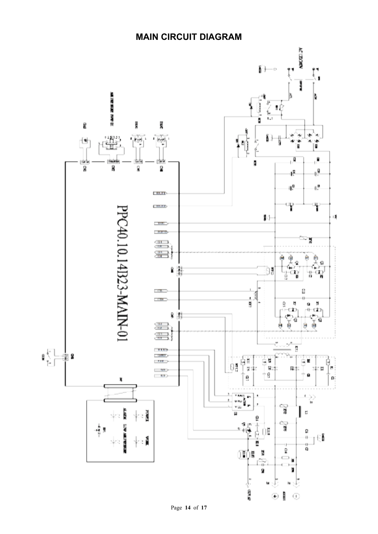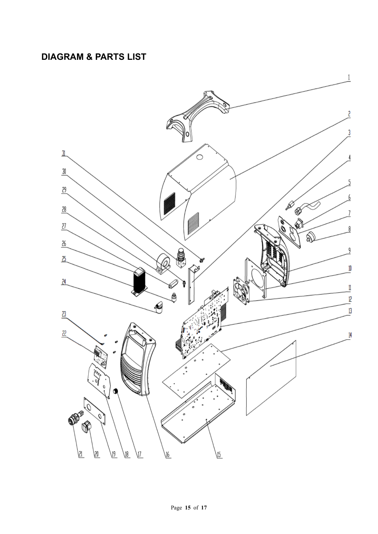# **DIAGRAM & PARTS LIST**

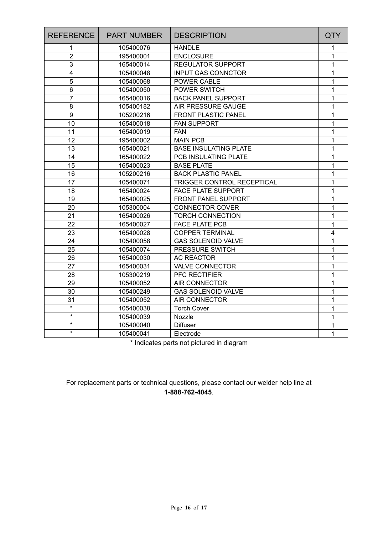| <b>REFERENCE</b>        | <b>PART NUMBER</b> | <b>DESCRIPTION</b>           | QTY            |
|-------------------------|--------------------|------------------------------|----------------|
| 1                       | 105400076          | <b>HANDLE</b>                | 1              |
| $\overline{2}$          | 195400001          | <b>ENCLOSURE</b>             | 1              |
| 3                       | 165400014          | <b>REGULATOR SUPPORT</b>     | 1              |
| $\overline{\mathbf{4}}$ | 105400048          | <b>INPUT GAS CONNCTOR</b>    | 1              |
| 5                       | 105400068          | POWER CABLE                  | 1              |
| 6                       | 105400050          | POWER SWITCH                 | 1              |
| $\overline{7}$          | 165400016          | <b>BACK PANEL SUPPORT</b>    | 1              |
| 8                       | 105400182          | AIR PRESSURE GAUGE           | 1              |
| 9                       | 105200216          | <b>FRONT PLASTIC PANEL</b>   | 1              |
| 10                      | 165400018          | <b>FAN SUPPORT</b>           | 1              |
| 11                      | 165400019          | <b>FAN</b>                   | 1              |
| 12                      | 195400002          | <b>MAIN PCB</b>              | 1              |
| 13                      | 165400021          | <b>BASE INSULATING PLATE</b> | 1              |
| 14                      | 165400022          | PCB INSULATING PLATE         | 1              |
| 15                      | 165400023          | <b>BASE PLATE</b>            | 1              |
| 16                      | 105200216          | <b>BACK PLASTIC PANEL</b>    | 1              |
| 17                      | 105400071          | TRIGGER CONTROL RECEPTICAL   | 1              |
| 18                      | 165400024          | <b>FACE PLATE SUPPORT</b>    | 1              |
| 19                      | 165400025          | FRONT PANEL SUPPORT          | 1              |
| 20                      | 105300004          | <b>CONNECTOR COVER</b>       | 1              |
| 21                      | 165400026          | <b>TORCH CONNECTION</b>      | 1              |
| 22                      | 165400027          | <b>FACE PLATE PCB</b>        | 1              |
| 23                      | 165400028          | <b>COPPER TERMINAL</b>       | $\overline{4}$ |
| 24                      | 105400058          | <b>GAS SOLENOID VALVE</b>    | 1              |
| 25                      | 105400074          | PRESSURE SWITCH              | 1              |
| 26                      | 165400030          | <b>AC REACTOR</b>            | 1              |
| 27                      | 165400031          | <b>VALVE CONNECTOR</b>       | 1              |
| 28                      | 105300219          | PFC RECTIFIER                | 1              |
| 29                      | 105400052          | <b>AIR CONNECTOR</b>         | 1              |
| 30                      | 105400249          | <b>GAS SOLENOID VALVE</b>    | 1              |
| 31                      | 105400052          | <b>AIR CONNECTOR</b>         | 1              |
| $\star$                 | 105400038          | <b>Torch Cover</b>           | 1              |
| $\star$                 | 105400039          | Nozzle                       | 1              |
| $\star$                 | 105400040          | <b>Diffuser</b>              | 1              |
| $\star$                 | 105400041          | Electrode                    | $\mathbf{1}$   |

\* Indicates parts not pictured in diagram

For replacement parts or technical questions, please contact our welder help line at **1-888-762-4045**.